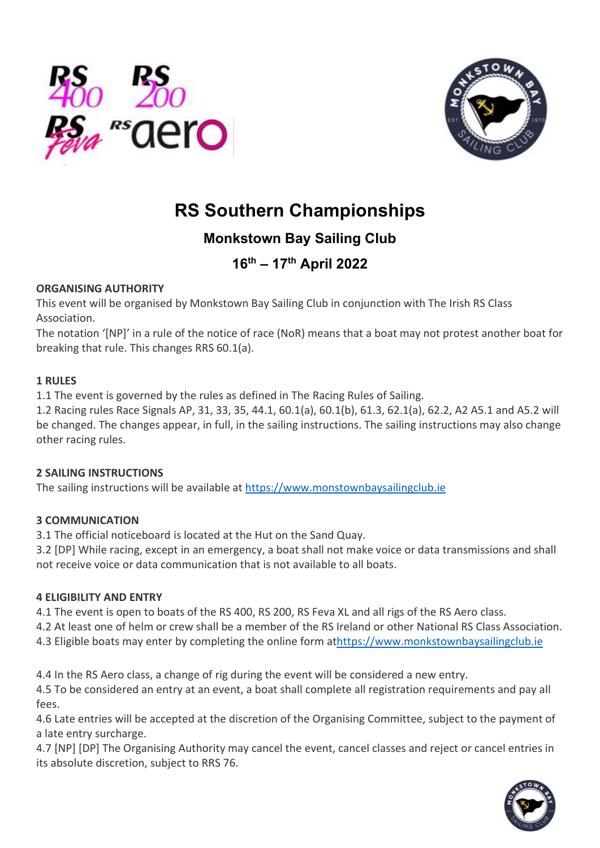



# RS Southern Championships

## Monkstown Bay Sailing Club

## 16th – 17th April 2022

## ORGANISING AUTHORITY

This event will be organised by Monkstown Bay Sailing Club in conjunction with The Irish RS Class Association.

The notation '[NP]' in a rule of the notice of race (NoR) means that a boat may not protest another boat for breaking that rule. This changes RRS 60.1(a).

## 1 RULES

1.1 The event is governed by the rules as defined in The Racing Rules of Sailing.

1.2 Racing rules Race Signals AP, 31, 33, 35, 44.1, 60.1(a), 60.1(b), 61.3, 62.1(a), 62.2, A2 A5.1 and A5.2 will be changed. The changes appear, in full, in the sailing instructions. The sailing instructions may also change other racing rules.

## 2 SAILING INSTRUCTIONS

The sailing instructions will be available at https://www.monstownbaysailingclub.ie

## 3 COMMUNICATION

3.1 The official noticeboard is located at the Hut on the Sand Quay.

3.2 [DP] While racing, except in an emergency, a boat shall not make voice or data transmissions and shall not receive voice or data communication that is not available to all boats.

## 4 ELIGIBILITY AND ENTRY

4.1 The event is open to boats of the RS 400, RS 200, RS Feva XL and all rigs of the RS Aero class.

4.2 At least one of helm or crew shall be a member of the RS Ireland or other National RS Class Association.

4.3 Eligible boats may enter by completing the online form athttps://www.monkstownbaysailingclub.ie

4.4 In the RS Aero class, a change of rig during the event will be considered a new entry.

4.5 To be considered an entry at an event, a boat shall complete all registration requirements and pay all fees.

4.6 Late entries will be accepted at the discretion of the Organising Committee, subject to the payment of a late entry surcharge.

4.7 [NP] [DP] The Organising Authority may cancel the event, cancel classes and reject or cancel entries in its absolute discretion, subject to RRS 76.

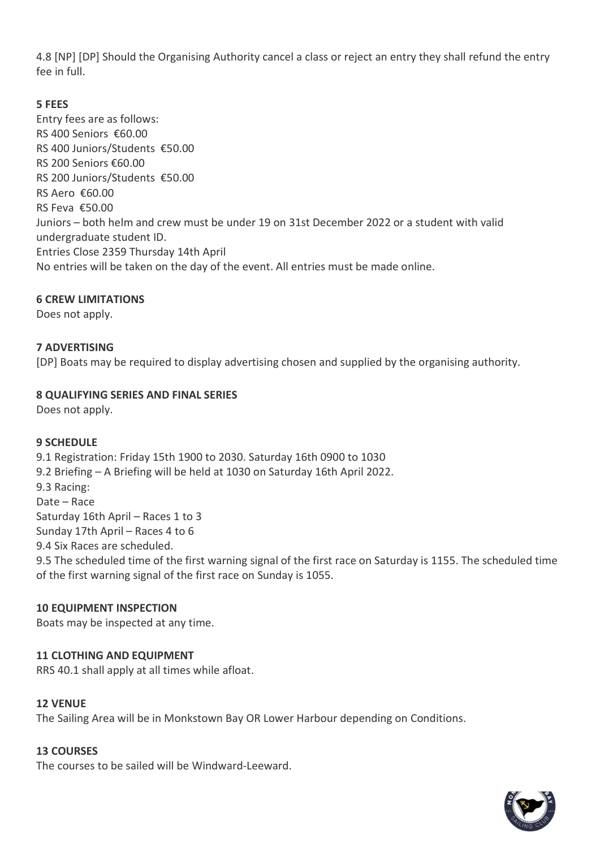4.8 [NP] [DP] Should the Organising Authority cancel a class or reject an entry they shall refund the entry fee in full.

## 5 FEES

Entry fees are as follows: RS 400 Seniors €60.00 RS 400 Juniors/Students €50.00 RS 200 Seniors €60.00 RS 200 Juniors/Students €50.00 RS Aero €60.00 RS Feva €50.00 Juniors – both helm and crew must be under 19 on 31st December 2022 or a student with valid undergraduate student ID. Entries Close 2359 Thursday 14th April No entries will be taken on the day of the event. All entries must be made online.

## 6 CREW LIMITATIONS

Does not apply.

## 7 ADVERTISING

[DP] Boats may be required to display advertising chosen and supplied by the organising authority.

## 8 QUALIFYING SERIES AND FINAL SERIES

Does not apply.

## 9 SCHEDULE

9.1 Registration: Friday 15th 1900 to 2030. Saturday 16th 0900 to 1030 9.2 Briefing – A Briefing will be held at 1030 on Saturday 16th April 2022. 9.3 Racing: Date – Race Saturday 16th April – Races 1 to 3 Sunday 17th April – Races 4 to 6 9.4 Six Races are scheduled. 9.5 The scheduled time of the first warning signal of the first race on Saturday is 1155. The scheduled time of the first warning signal of the first race on Sunday is 1055.

## 10 EQUIPMENT INSPECTION

Boats may be inspected at any time.

## 11 CLOTHING AND EQUIPMENT

RRS 40.1 shall apply at all times while afloat.

#### 12 VENUE

The Sailing Area will be in Monkstown Bay OR Lower Harbour depending on Conditions.

#### 13 COURSES

The courses to be sailed will be Windward-Leeward.

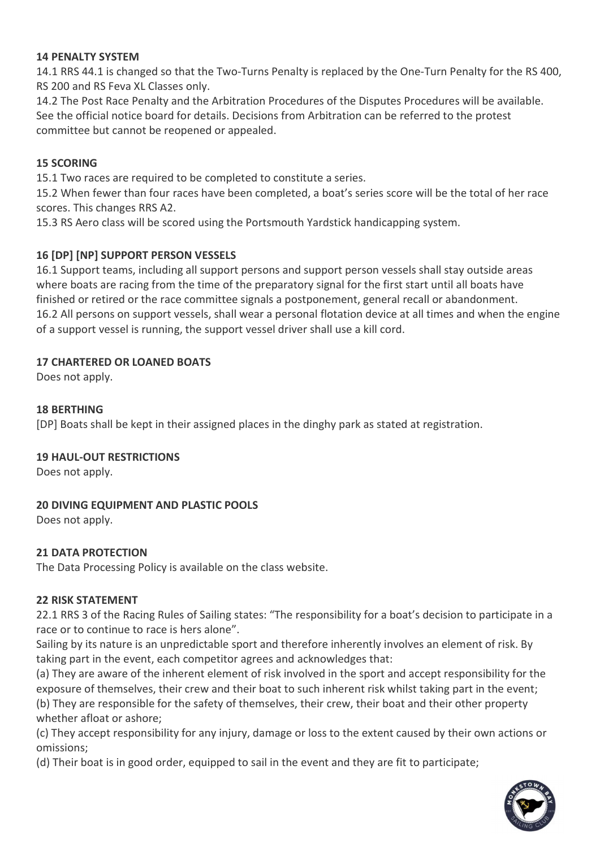## 14 PENALTY SYSTEM

14.1 RRS 44.1 is changed so that the Two-Turns Penalty is replaced by the One-Turn Penalty for the RS 400, RS 200 and RS Feva XL Classes only.

14.2 The Post Race Penalty and the Arbitration Procedures of the Disputes Procedures will be available. See the official notice board for details. Decisions from Arbitration can be referred to the protest committee but cannot be reopened or appealed.

## 15 SCORING

15.1 Two races are required to be completed to constitute a series.

15.2 When fewer than four races have been completed, a boat's series score will be the total of her race scores. This changes RRS A2.

15.3 RS Aero class will be scored using the Portsmouth Yardstick handicapping system.

## 16 [DP] [NP] SUPPORT PERSON VESSELS

16.1 Support teams, including all support persons and support person vessels shall stay outside areas where boats are racing from the time of the preparatory signal for the first start until all boats have finished or retired or the race committee signals a postponement, general recall or abandonment. 16.2 All persons on support vessels, shall wear a personal flotation device at all times and when the engine of a support vessel is running, the support vessel driver shall use a kill cord.

#### 17 CHARTERED OR LOANED BOATS

Does not apply.

#### 18 BERTHING

[DP] Boats shall be kept in their assigned places in the dinghy park as stated at registration.

#### 19 HAUL-OUT RESTRICTIONS

Does not apply.

## 20 DIVING EQUIPMENT AND PLASTIC POOLS

Does not apply.

## 21 DATA PROTECTION

The Data Processing Policy is available on the class website.

#### 22 RISK STATEMENT

22.1 RRS 3 of the Racing Rules of Sailing states: "The responsibility for a boat's decision to participate in a race or to continue to race is hers alone".

Sailing by its nature is an unpredictable sport and therefore inherently involves an element of risk. By taking part in the event, each competitor agrees and acknowledges that:

(a) They are aware of the inherent element of risk involved in the sport and accept responsibility for the exposure of themselves, their crew and their boat to such inherent risk whilst taking part in the event; (b) They are responsible for the safety of themselves, their crew, their boat and their other property whether afloat or ashore;

(c) They accept responsibility for any injury, damage or loss to the extent caused by their own actions or omissions;

(d) Their boat is in good order, equipped to sail in the event and they are fit to participate;